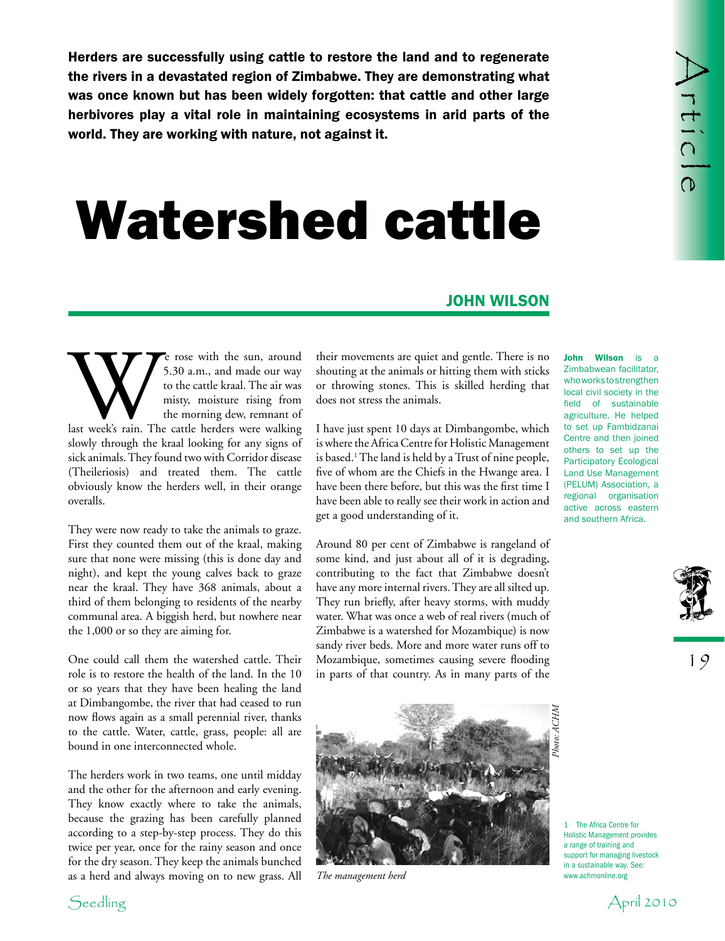Here the see successfully using certain the torstood the land and to regular the see successfully using the set of the set of the set of the set of the set of the set of the set of the set of the set of the set of the set Herders are successfully using cattle to restore the land and to regenerate the rivers in a devastated region of Zimbabwe. They are demonstrating what was once known but has been widely forgotten: that cattle and other large herbivores play a vital role in maintaining ecosystems in arid parts of the world. They are working with nature, not against it.

## Watershed cattle

## john wilson

Example 1 and made our way<br>
to the cattle kraal. The air was<br>
to the cattle kraal. The air was<br>
misty, moisture rising from<br>
the morning dew, remnant of<br>
last week's rain. The cattle herders were walking 5.30 a.m., and made our way to the cattle kraal. The air was misty, moisture rising from the morning dew, remnant of slowly through the kraal looking for any signs of sick animals. They found two with Corridor disease (Theileriosis) and treated them. The cattle obviously know the herders well, in their orange overalls.

They were now ready to take the animals to graze. First they counted them out of the kraal, making sure that none were missing (this is done day and night), and kept the young calves back to graze near the kraal. They have 368 animals, about a third of them belonging to residents of the nearby communal area. A biggish herd, but nowhere near the 1,000 or so they are aiming for.

One could call them the watershed cattle. Their role is to restore the health of the land. In the 10 or so years that they have been healing the land at Dimbangombe, the river that had ceased to run now flows again as a small perennial river, thanks to the cattle. Water, cattle, grass, people: all are bound in one interconnected whole.

The herders work in two teams, one until midday and the other for the afternoon and early evening. They know exactly where to take the animals, because the grazing has been carefully planned according to a step-by-step process. They do this twice per year, once for the rainy season and once for the dry season. They keep the animals bunched as a herd and always moving on to new grass. All their movements are quiet and gentle. There is no shouting at the animals or hitting them with sticks or throwing stones. This is skilled herding that does not stress the animals.

I have just spent 10 days at Dimbangombe, which is where the Africa Centre for Holistic Management is based.<sup>1</sup> The land is held by a Trust of nine people, five of whom are the Chiefs in the Hwange area. I have been there before, but this was the first time I have been able to really see their work in action and get a good understanding of it.

Around 80 per cent of Zimbabwe is rangeland of some kind, and just about all of it is degrading, contributing to the fact that Zimbabwe doesn't have any more internal rivers. They are all silted up. They run briefly, after heavy storms, with muddy water. What was once a web of real rivers (much of Zimbabwe is a watershed for Mozambique) is now sandy river beds. More and more water runs off to Mozambique, sometimes causing severe flooding in parts of that country. As in many parts of the



John Wilson is a Zimbabwean facilitator, whoworkstostrengthen local civil society in the field of sustainable agriculture. He helped to set up Fambidzanai Centre and then joined others to set up the Participatory Ecological Land Use Management (PELUM) Association, a regional organisation active across eastern and southern Africa.



19

1 The Africa Centre for Holistic Management provides a range of training and support for managing livestock in a sustainable way. See:<br>www.achmonline.org